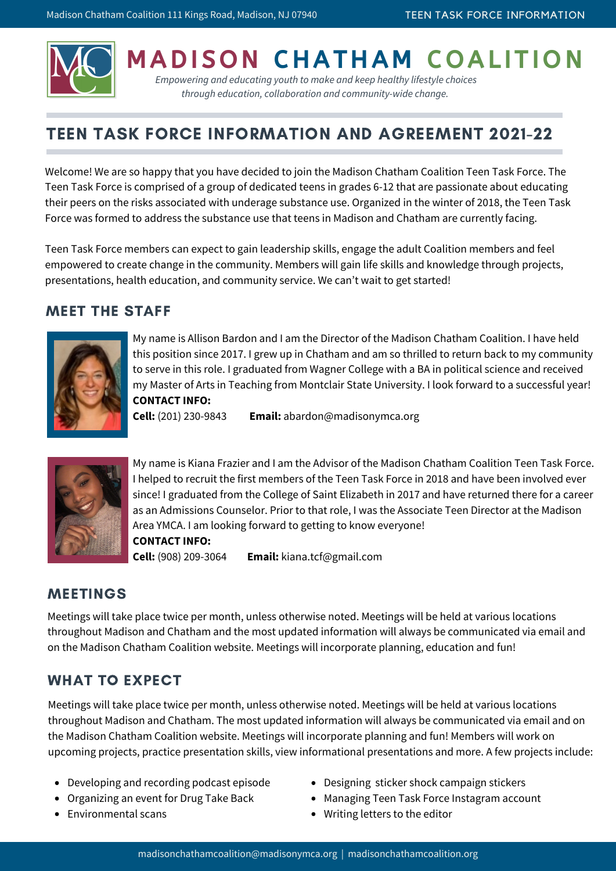

**MADISON CHATHAM COALITION** 

*Empowering and educating youth to make and keep healthy lifestyle choices through education, collaboration and community-wide change.*

# TEEN TASK FORCE INFORMATION AND AGREEMENT 2021-22

Welcome! We are so happy that you have decided to join the Madison Chatham Coalition Teen Task Force. The Teen Task Force is comprised of a group of dedicated teens in grades 6-12 that are passionate about educating their peers on the risks associated with underage substance use. Organized in the winter of 2018, the Teen Task Force was formed to address the substance use that teens in Madison and Chatham are currently facing.

Teen Task Force members can expect to gain leadership skills, engage the adult Coalition members and feel empowered to create change in the community. Members will gain life skills and knowledge through projects, presentations, health education, and community service. We can't wait to get started!

#### MEET THE STAFF



My name is Allison Bardon and I am the Director of the Madison Chatham Coalition. I have held this position since 2017. I grew up in Chatham and am so thrilled to return back to my community to serve in this role. I graduated from Wagner College with a BA in political science and received my Master of Arts in Teaching from Montclair State University. I look forward to a successful year! **CONTACT INFO:**

**Cell:** (201) 230-9843 **Email:** abardon@madisonymca.org



My name is Kiana Frazier and I am the Advisor of the Madison Chatham Coalition Teen Task Force. I helped to recruit the first members of the Teen Task Force in 2018 and have been involved ever since! I graduated from the College of Saint Elizabeth in 2017 and have returned there for a career as an Admissions Counselor. Prior to that role, I was the Associate Teen Director at the Madison Area YMCA. I am looking forward to getting to know everyone! **CONTACT INFO: Cell:** (908) 209-3064 **Email:** kiana.tcf@gmail.com

# MEETINGS

Meetings will take place twice per month, unless otherwise noted. Meetings will be held at various locations throughout Madison and Chatham and the most updated information will always be communicated via email and on the Madison Chatham Coalition website. Meetings will incorporate planning, education and fun!

### WHAT TO EXPECT

Meetings will take place twice per month, unless otherwise noted. Meetings will be held at various locations throughout Madison and Chatham. The most updated information will always be communicated via email and on the Madison Chatham Coalition website. Meetings will incorporate planning and fun! Members will work on upcoming projects, practice presentation skills, view informational presentations and more. A few projects include:

- Developing and recording podcast episode
- Organizing an event for Drug Take Back
- Environmental scans
- Designing sticker shock campaign stickers
- Managing Teen Task Force Instagram account
- Writing letters to the editor